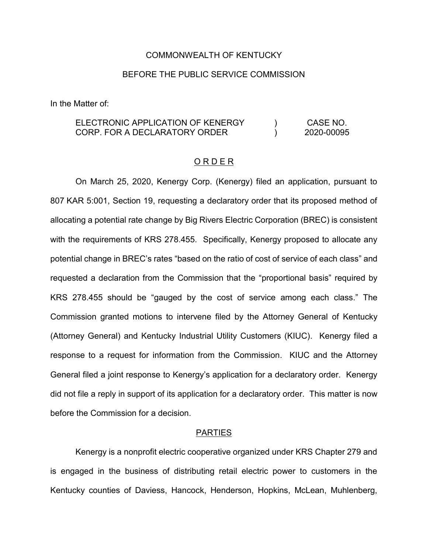## COMMONWEALTH OF KENTUCKY

# BEFORE THE PUBLIC SERVICE COMMISSION

In the Matter of:

#### ELECTRONIC APPLICATION OF KENERGY CORP. FOR A DECLARATORY ORDER  $\overline{)}$  $\lambda$ CASE NO. 2020-00095

#### O R D E R

On March 25, 2020, Kenergy Corp. (Kenergy) filed an application, pursuant to 807 KAR 5:001, Section 19, requesting a declaratory order that its proposed method of allocating a potential rate change by Big Rivers Electric Corporation (BREC) is consistent with the requirements of KRS 278.455. Specifically, Kenergy proposed to allocate any potential change in BREC's rates "based on the ratio of cost of service of each class" and requested a declaration from the Commission that the "proportional basis" required by KRS 278.455 should be "gauged by the cost of service among each class." The Commission granted motions to intervene filed by the Attorney General of Kentucky (Attorney General) and Kentucky Industrial Utility Customers (KIUC). Kenergy filed a response to a request for information from the Commission. KIUC and the Attorney General filed a joint response to Kenergy's application for a declaratory order. Kenergy did not file a reply in support of its application for a declaratory order. This matter is now before the Commission for a decision.

### **PARTIES**

Kenergy is a nonprofit electric cooperative organized under KRS Chapter 279 and is engaged in the business of distributing retail electric power to customers in the Kentucky counties of Daviess, Hancock, Henderson, Hopkins, McLean, Muhlenberg,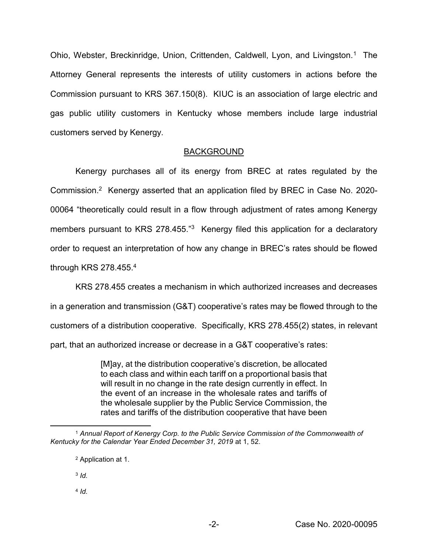Ohio, Webster, Breckinridge, Union, Crittenden, Caldwell, Lyon, and Livingston.<sup>1</sup> The Attorney General represents the interests of utility customers in actions before the Commission pursuant to KRS 367.150(8). KIUC is an association of large electric and gas public utility customers in Kentucky whose members include large industrial customers served by Kenergy.

# BACKGROUND

Kenergy purchases all of its energy from BREC at rates regulated by the Commission.2 Kenergy asserted that an application filed by BREC in Case No. 2020- 00064 "theoretically could result in a flow through adjustment of rates among Kenergy members pursuant to KRS 278.455."<sup>3</sup> Kenergy filed this application for a declaratory order to request an interpretation of how any change in BREC's rates should be flowed through KRS 278.455.4

KRS 278.455 creates a mechanism in which authorized increases and decreases in a generation and transmission (G&T) cooperative's rates may be flowed through to the customers of a distribution cooperative. Specifically, KRS 278.455(2) states, in relevant part, that an authorized increase or decrease in a G&T cooperative's rates:

> [M]ay, at the distribution cooperative's discretion, be allocated to each class and within each tariff on a proportional basis that will result in no change in the rate design currently in effect. In the event of an increase in the wholesale rates and tariffs of the wholesale supplier by the Public Service Commission, the rates and tariffs of the distribution cooperative that have been

<sup>3</sup> *Id.*

<sup>4</sup> *Id.*

 <sup>1</sup> *Annual Report of Kenergy Corp. to the Public Service Commission of the Commonwealth of Kentucky for the Calendar Year Ended December 31, 2019* at 1, 52.

<sup>2</sup> Application at 1.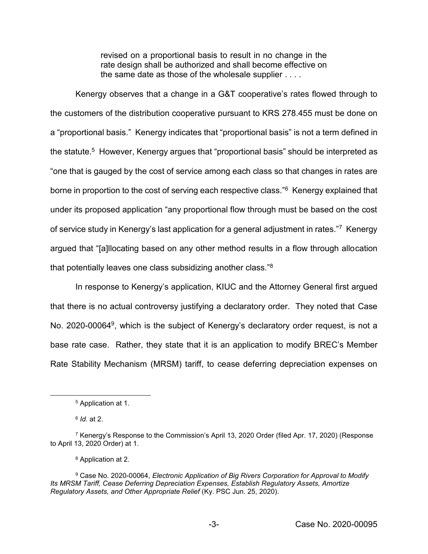revised on a proportional basis to result in no change in the rate design shall be authorized and shall become effective on the same date as those of the wholesale supplier . . . .

Kenergy observes that a change in a G&T cooperative's rates flowed through to the customers of the distribution cooperative pursuant to KRS 278.455 must be done on a "proportional basis." Kenergy indicates that "proportional basis" is not a term defined in the statute.<sup>5</sup> However, Kenergy argues that "proportional basis" should be interpreted as "one that is gauged by the cost of service among each class so that changes in rates are borne in proportion to the cost of serving each respective class."<sup>6</sup> Kenergy explained that under its proposed application "any proportional flow through must be based on the cost of service study in Kenergy's last application for a general adjustment in rates."7 Kenergy argued that "[a]llocating based on any other method results in a flow through allocation that potentially leaves one class subsidizing another class."<sup>8</sup>

In response to Kenergy's application, KIUC and the Attorney General first argued that there is no actual controversy justifying a declaratory order. They noted that Case No. 2020-00064<sup>9</sup>, which is the subject of Kenergy's declaratory order request, is not a base rate case. Rather, they state that it is an application to modify BREC's Member Rate Stability Mechanism (MRSM) tariff, to cease deferring depreciation expenses on

 <sup>5</sup> Application at 1.

<sup>6</sup> *Id.* at 2.

<sup>7</sup> Kenergy's Response to the Commission's April 13, 2020 Order (filed Apr. 17, 2020) (Response to April 13, 2020 Order) at 1.

<sup>8</sup> Application at 2.

<sup>9</sup> Case No. 2020-00064, *Electronic Application of Big Rivers Corporation for Approval to Modify Its MRSM Tariff, Cease Deferring Depreciation Expenses, Establish Regulatory Assets, Amortize Regulatory Assets, and Other Appropriate Relief* (Ky. PSC Jun. 25, 2020).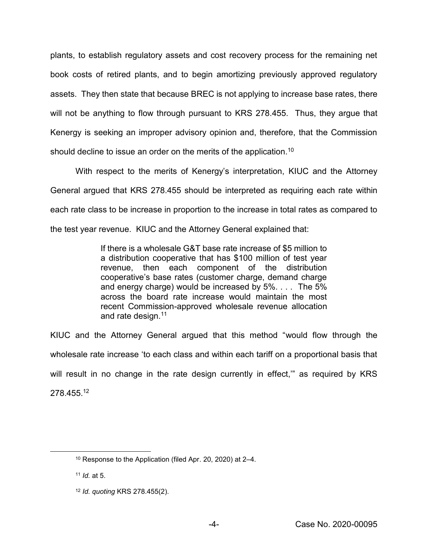plants, to establish regulatory assets and cost recovery process for the remaining net book costs of retired plants, and to begin amortizing previously approved regulatory assets. They then state that because BREC is not applying to increase base rates, there will not be anything to flow through pursuant to KRS 278.455. Thus, they argue that Kenergy is seeking an improper advisory opinion and, therefore, that the Commission should decline to issue an order on the merits of the application.<sup>10</sup>

With respect to the merits of Kenergy's interpretation, KIUC and the Attorney General argued that KRS 278.455 should be interpreted as requiring each rate within each rate class to be increase in proportion to the increase in total rates as compared to the test year revenue. KIUC and the Attorney General explained that:

> If there is a wholesale G&T base rate increase of \$5 million to a distribution cooperative that has \$100 million of test year revenue, then each component of the distribution cooperative's base rates (customer charge, demand charge and energy charge) would be increased by 5%. . . . The 5% across the board rate increase would maintain the most recent Commission-approved wholesale revenue allocation and rate design.<sup>11</sup>

KIUC and the Attorney General argued that this method "would flow through the wholesale rate increase 'to each class and within each tariff on a proportional basis that will result in no change in the rate design currently in effect," as required by KRS 278.455.12

 <sup>10</sup> Response to the Application (filed Apr. 20, 2020) at 2–4.

<sup>11</sup> *Id.* at 5.

<sup>12</sup> *Id. quoting* KRS 278.455(2).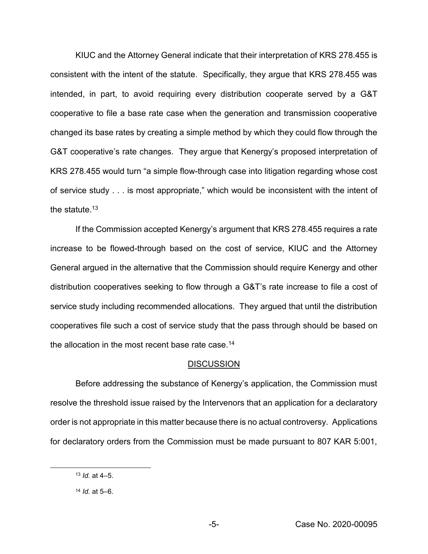KIUC and the Attorney General indicate that their interpretation of KRS 278.455 is consistent with the intent of the statute. Specifically, they argue that KRS 278.455 was intended, in part, to avoid requiring every distribution cooperate served by a G&T cooperative to file a base rate case when the generation and transmission cooperative changed its base rates by creating a simple method by which they could flow through the G&T cooperative's rate changes. They argue that Kenergy's proposed interpretation of KRS 278.455 would turn "a simple flow-through case into litigation regarding whose cost of service study . . . is most appropriate," which would be inconsistent with the intent of the statute. $13$ 

If the Commission accepted Kenergy's argument that KRS 278.455 requires a rate increase to be flowed-through based on the cost of service, KIUC and the Attorney General argued in the alternative that the Commission should require Kenergy and other distribution cooperatives seeking to flow through a G&T's rate increase to file a cost of service study including recommended allocations. They argued that until the distribution cooperatives file such a cost of service study that the pass through should be based on the allocation in the most recent base rate case.<sup>14</sup>

## **DISCUSSION**

Before addressing the substance of Kenergy's application, the Commission must resolve the threshold issue raised by the Intervenors that an application for a declaratory order is not appropriate in this matter because there is no actual controversy. Applications for declaratory orders from the Commission must be made pursuant to 807 KAR 5:001,

 <sup>13</sup> *Id.* at 4–5.

<sup>14</sup> *Id.* at 5–6.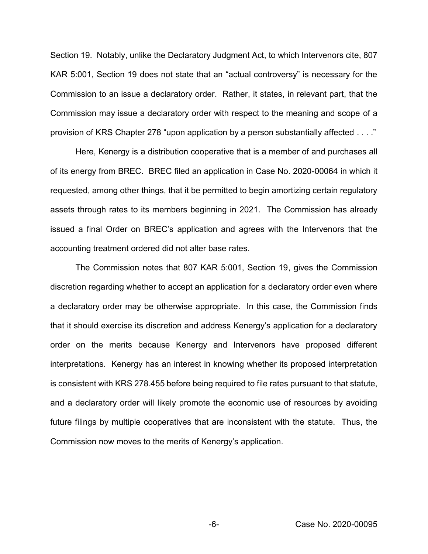Section 19. Notably, unlike the Declaratory Judgment Act, to which Intervenors cite, 807 KAR 5:001, Section 19 does not state that an "actual controversy" is necessary for the Commission to an issue a declaratory order. Rather, it states, in relevant part, that the Commission may issue a declaratory order with respect to the meaning and scope of a provision of KRS Chapter 278 "upon application by a person substantially affected . . . ."

Here, Kenergy is a distribution cooperative that is a member of and purchases all of its energy from BREC. BREC filed an application in Case No. 2020-00064 in which it requested, among other things, that it be permitted to begin amortizing certain regulatory assets through rates to its members beginning in 2021. The Commission has already issued a final Order on BREC's application and agrees with the Intervenors that the accounting treatment ordered did not alter base rates.

The Commission notes that 807 KAR 5:001, Section 19, gives the Commission discretion regarding whether to accept an application for a declaratory order even where a declaratory order may be otherwise appropriate. In this case, the Commission finds that it should exercise its discretion and address Kenergy's application for a declaratory order on the merits because Kenergy and Intervenors have proposed different interpretations. Kenergy has an interest in knowing whether its proposed interpretation is consistent with KRS 278.455 before being required to file rates pursuant to that statute, and a declaratory order will likely promote the economic use of resources by avoiding future filings by multiple cooperatives that are inconsistent with the statute. Thus, the Commission now moves to the merits of Kenergy's application.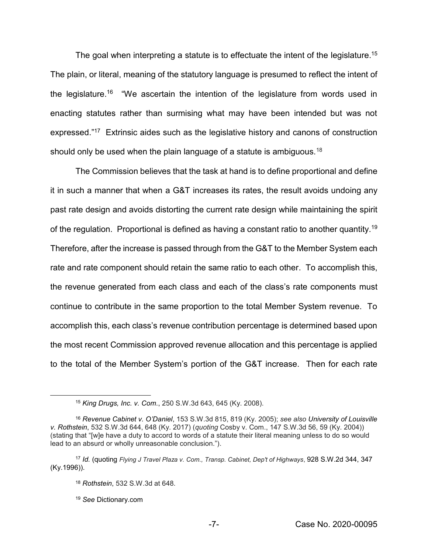The goal when interpreting a statute is to effectuate the intent of the legislature.<sup>15</sup> The plain, or literal, meaning of the statutory language is presumed to reflect the intent of the legislature.<sup>16</sup> "We ascertain the intention of the legislature from words used in enacting statutes rather than surmising what may have been intended but was not expressed."17 Extrinsic aides such as the legislative history and canons of construction should only be used when the plain language of a statute is ambiguous.<sup>18</sup>

The Commission believes that the task at hand is to define proportional and define it in such a manner that when a G&T increases its rates, the result avoids undoing any past rate design and avoids distorting the current rate design while maintaining the spirit of the regulation. Proportional is defined as having a constant ratio to another quantity.19 Therefore, after the increase is passed through from the G&T to the Member System each rate and rate component should retain the same ratio to each other. To accomplish this, the revenue generated from each class and each of the class's rate components must continue to contribute in the same proportion to the total Member System revenue. To accomplish this, each class's revenue contribution percentage is determined based upon the most recent Commission approved revenue allocation and this percentage is applied to the total of the Member System's portion of the G&T increase. Then for each rate

<sup>19</sup> *See* Dictionary.com

 <sup>15</sup> *King Drugs, Inc. v. Com.*, 250 S.W.3d 643, 645 (Ky. 2008).

<sup>16</sup> *Revenue Cabinet v. O'Daniel*, 153 S.W.3d 815, 819 (Ky. 2005); *see also University of Louisville v. Rothstein*, 532 S.W.3d 644, 648 (Ky. 2017) (*quoting* Cosby v. Com., 147 S.W.3d 56, 59 (Ky. 2004)) (stating that "[w]e have a duty to accord to words of a statute their literal meaning unless to do so would lead to an absurd or wholly unreasonable conclusion.").

<sup>17</sup> *Id.* (quoting *Flying J Travel Plaza v. Com., Transp. Cabinet, Dep't of Highways*, 928 S.W.2d 344, 347 (Ky.1996)).

<sup>18</sup> *Rothstein*, 532 S.W.3d at 648.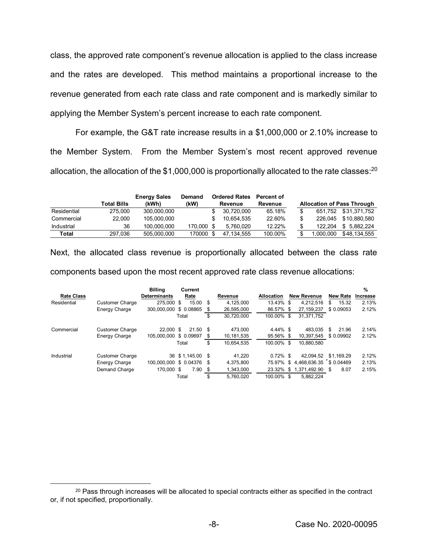class, the approved rate component's revenue allocation is applied to the class increase and the rates are developed. This method maintains a proportional increase to the revenue generated from each rate class and rate component and is markedly similar to applying the Member System's percent increase to each rate component.

For example, the G&T rate increase results in a \$1,000,000 or 2.10% increase to the Member System. From the Member System's most recent approved revenue allocation, the allocation of the \$1,000,000 is proportionally allocated to the rate classes:<sup>20</sup>

|             | Total Bills | <b>Energy Sales</b><br>(kWh) | Demand<br>(kW) |     | <b>Ordered Rates</b><br>Revenue | Percent of<br>Revenue |          | <b>Allocation of Pass Through</b> |
|-------------|-------------|------------------------------|----------------|-----|---------------------------------|-----------------------|----------|-----------------------------------|
| Residential | 275.000     | 300.000.000                  |                |     | 30.720.000                      | 65.18%                | 651.752  | \$31.371.752                      |
| Commercial  | 22.000      | 105.000.000                  |                |     | 10.654.535                      | 22.60%                | 226.045  | \$10.880.580                      |
| Industrial  | 36          | 100.000.000                  | 170,000        |     | 5.760.020                       | 12.22%                | 122.204  | 5.882.224<br>S.                   |
| Total       | 297.036     | 505.000.000                  | 170000         | \$. | 47.134.555                      | 100.00%               | .000.000 | \$48.134.555                      |

Next, the allocated class revenue is proportionally allocated between the class rate components based upon the most recent approved rate class revenue allocations:

|                   |                        | <b>Billing</b>            | Current          |    |            |             |                         |                 | %        |
|-------------------|------------------------|---------------------------|------------------|----|------------|-------------|-------------------------|-----------------|----------|
| <b>Rate Class</b> |                        | <b>Determinants</b>       | Rate             |    | Revenue    | Allocation  | <b>New Revenue</b>      | <b>New Rate</b> | Increase |
| Residential       | <b>Customer Charge</b> | 275,000 \$                | 15.00 \$         |    | 4.125.000  | 13.43% \$   | 4.212.516               | 15.32<br>S      | 2.13%    |
|                   | Energy Charge          | 300.000.000               | \$ 0.08865       | S. | 26.595.000 | 86.57% \$   | 27, 159, 237            | \$0.09053       | 2.12%    |
|                   |                        |                           | Total            | \$ | 30.720.000 | 100.00% \$  | 31.371.752              |                 |          |
| Commercial        | <b>Customer Charge</b> | 22,000 \$                 | $21.50$ \$       |    | 473.000    | $4.44\%$ \$ | 483.035                 | 21.96<br>\$     | 2.14%    |
|                   | Energy Charge          | 105.000.000 \$ 0.09697    |                  | S  | 10,181,535 | 95.56% \$   | 10.397.545              | \$ 0.09902      | 2.12%    |
|                   |                        |                           | Total            | \$ | 10.654.535 | 100.00% \$  | 10.880.580              |                 |          |
| Industrial        | <b>Customer Charge</b> |                           | 36 \$1.145.00 \$ |    | 41.220     | $0.72\%$ \$ | 42.094.52               | \$1.169.29      | 2.12%    |
|                   | Energy Charge          | 100.000.000 \$ 0.04376 \$ |                  |    | 4.375.800  | 75.97% \$   | 4,468,636.35 \$ 0.04469 |                 | 2.13%    |
|                   | Demand Charge          | 170,000 \$                | $7.90$ \$        |    | 1.343.000  |             | 23.32% \$ 1,371,492.90  | 8.07<br>S       | 2.15%    |
|                   |                        |                           | Total            | \$ | 5.760.020  | 100.00% \$  | 5.882.224               |                 |          |

<sup>&</sup>lt;sup>20</sup> Pass through increases will be allocated to special contracts either as specified in the contract or, if not specified, proportionally.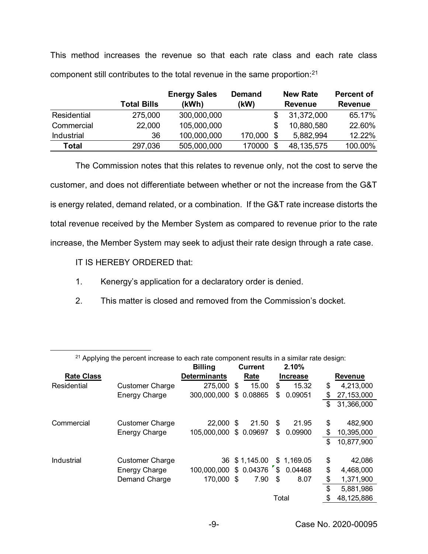This method increases the revenue so that each rate class and each rate class component still contributes to the total revenue in the same proportion:21

|              |                    | <b>Energy Sales</b> | <b>Demand</b> | <b>New Rate</b> |                | <b>Percent of</b> |  |
|--------------|--------------------|---------------------|---------------|-----------------|----------------|-------------------|--|
|              | <b>Total Bills</b> | (kWh)               | (kW)          |                 | <b>Revenue</b> | <b>Revenue</b>    |  |
| Residential  | 275,000            | 300,000,000         |               |                 | 31,372,000     | 65.17%            |  |
| Commercial   | 22,000             | 105,000,000         |               |                 | 10,880,580     | 22.60%            |  |
| Industrial   | 36                 | 100,000,000         | 170,000       |                 | 5,882,994      | 12.22%            |  |
| <b>Total</b> | 297,036            | 505,000,000         | 170000        | \$              | 48, 135, 575   | 100.00%           |  |

The Commission notes that this relates to revenue only, not the cost to serve the customer, and does not differentiate between whether or not the increase from the G&T is energy related, demand related, or a combination. If the G&T rate increase distorts the total revenue received by the Member System as compared to revenue prior to the rate increase, the Member System may seek to adjust their rate design through a rate case.

IT IS HEREBY ORDERED that:

- 1. Kenergy's application for a declaratory order is denied.
- 2. This matter is closed and removed from the Commission's docket.

| <sup>21</sup> Applying the percent increase to each rate component results in a similar rate design: |                        |                     |                |               |       |                 |                |            |  |
|------------------------------------------------------------------------------------------------------|------------------------|---------------------|----------------|---------------|-------|-----------------|----------------|------------|--|
|                                                                                                      |                        |                     | <b>Current</b> |               |       | 2.10%           |                |            |  |
| <b>Rate Class</b>                                                                                    |                        | <b>Determinants</b> |                | Rate          |       | <b>Increase</b> | <b>Revenue</b> |            |  |
| Residential                                                                                          | <b>Customer Charge</b> | 275,000             | \$             | 15.00         | \$    | 15.32           | \$             | 4,213,000  |  |
|                                                                                                      | Energy Charge          | 300,000,000         | \$             | 0.08865       | \$    | 0.09051         | \$             | 27,153,000 |  |
|                                                                                                      |                        |                     |                |               |       |                 | \$             | 31,366,000 |  |
|                                                                                                      |                        |                     |                |               |       |                 |                |            |  |
| Commercial                                                                                           | <b>Customer Charge</b> | 22,000              | \$             | 21.50         | \$    | 21.95           | \$             | 482,900    |  |
|                                                                                                      | Energy Charge          | 105,000,000         |                | \$ 0.09697    | \$    | 0.09900         | \$             | 10,395,000 |  |
|                                                                                                      |                        |                     |                |               |       |                 | \$             | 10,877,900 |  |
|                                                                                                      |                        |                     |                |               |       |                 |                |            |  |
| Industrial                                                                                           | <b>Customer Charge</b> |                     |                | 36 \$1,145.00 |       | \$1,169.05      | \$             | 42,086     |  |
|                                                                                                      | Energy Charge          | 100,000,000         |                | \$0.04376     |       | \$0.04468       | \$             | 4,468,000  |  |
|                                                                                                      | Demand Charge          | 170,000             | - \$           | 7.90          | \$    | 8.07            | \$             | 1,371,900  |  |
|                                                                                                      |                        |                     |                |               |       |                 | \$             | 5,881,986  |  |
|                                                                                                      |                        |                     |                |               | Total |                 | \$             | 48,125,886 |  |

21 Applying the percent increase to each rate component results in a similar rate design: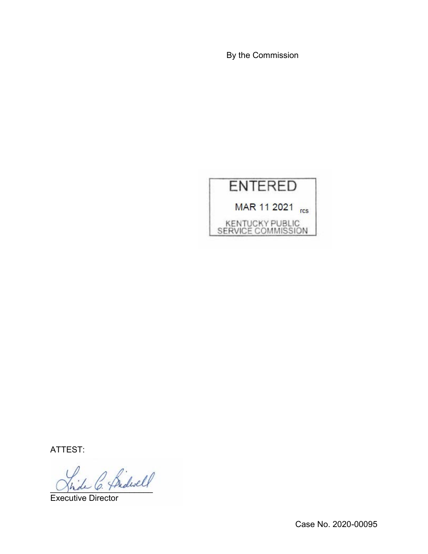By the Commission



ATTEST:

hide C. Pridwell

Executive Director

Case No. 2020-00095